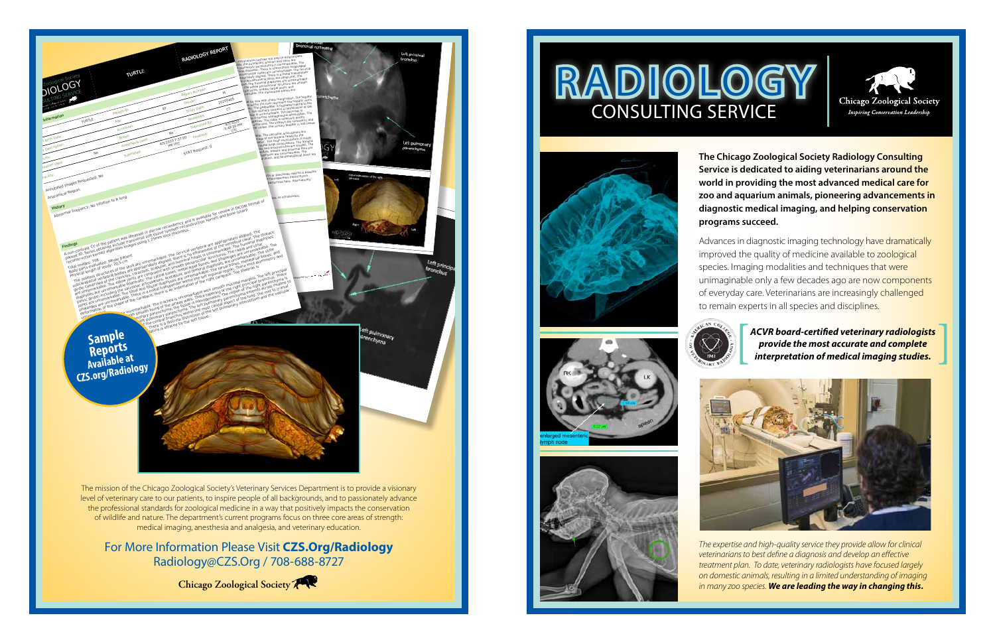**The Chicago Zoological Society Radiology Consulting Service is dedicated to aiding veterinarians around the world in providing the most advanced medical care for zoo and aquarium animals, pioneering advancements in diagnostic medical imaging, and helping conservation programs succeed.** 

Advances in diagnostic imaging technology have dramatically improved the quality of medicine available to zoological species. Imaging modalities and techniques that were unimaginable only a few decades ago are now components of everyday care. Veterinarians are increasingly challenged to remain experts in all species and disciplines.



**ACVR board-certified veterinary radiologists**<br>provide the most accurate and complete<br>interpretation of medical imaging studies.



*The expertise and high-quality service they provide allow for clinical veterinarians to best define a diagnosis and develop an effective treatment plan. To date, veterinary radiologists have focused largely on domestic animals, resulting in a limited understanding of imaging in many zoo species. We are leading the way in changing this.* 

## RADIOLOG CONSULTING SERVICE













level of veterinary care to our patients, to inspire people of all backgrounds, and to passionately advance the professional standards for zoological medicine in a way that positively impacts the conservation of wildlife and nature. The department's current programs focus on three core areas of strength: medical imaging, anesthesia and analgesia, and veterinary education.

©2020 Chicago Zoological Society. The Chicago Zoological Society is a private nonprofit organization that operates Brookfield Zoo on land owned by the Forest Preserves of Cook County.

For More Information Please Visit **CZS.Org/Radiology** Radiology@CZS.Org / 708-688-8727

**Chicago Zoological Society**